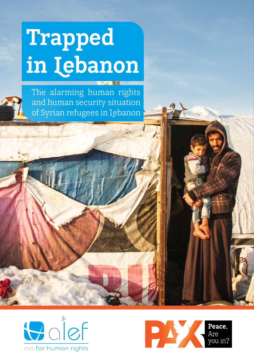### **Trapped in Lebanon**

The alarming human rights and human security situation of Syrian refugees in Lebanon



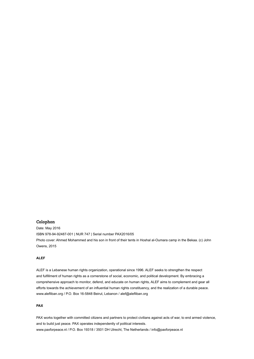#### **Colophon**

Date: May 2016 ISBN 978-94-92487-001 | NUR 747 | Serial number PAX2016/05 Photo cover: Ahmed Mohammed and his son in front of their tents in Hoshal al-Oumara camp in the Bekaa. (c) John Owens, 2015

#### **ALEF**

ALEF is a Lebanese human rights organization, operational since 1996. ALEF seeks to strengthen the respect and fulfillment of human rights as a cornerstone of social, economic, and political development. By embracing a comprehensive approach to monitor, defend, and educate on human rights, ALEF aims to complement and gear all efforts towards the achievement of an influential human rights constituency, and the realization of a durable peace. www.alefliban.org / P.O. Box 16-5848 Beirut, Lebanon / alef@alefliban.org

#### **PAX**

PAX works together with committed citizens and partners to protect civilians against acts of war, to end armed violence, and to build just peace. PAX operates independently of political interests. www.paxforpeace.nl / P.O. Box 19318 / 3501 DH Utrecht, The Netherlands / info@paxforpeace.nl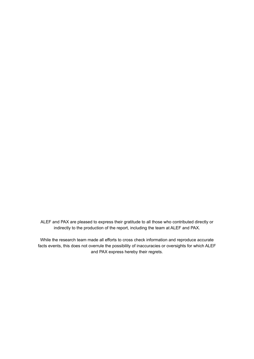ALEF and PAX are pleased to express their gratitude to all those who contributed directly or indirectly to the production of the report, including the team at ALEF and PAX.

While the research team made all efforts to cross check information and reproduce accurate facts events, this does not overrule the possibility of inaccuracies or oversights for which ALEF and PAX express hereby their regrets.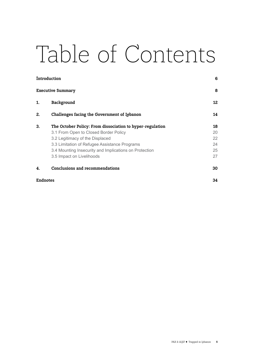### Table of Contents

| <i>introduction</i>      |                                                           | 6<br>8 |
|--------------------------|-----------------------------------------------------------|--------|
| <b>Executive Summary</b> |                                                           |        |
| 1.                       | Background                                                | 12     |
| 2.                       | Challenges facing the Government of Lebanon               | 14     |
| 3.                       | The October Policy: From dissociation to hyper-regulation | 18     |
|                          | 3.1 From Open to Closed Border Policy                     | 20     |
|                          | 3.2 Legitimacy of the Displaced                           | 22     |
|                          | 3.3 Limitation of Refugee Assistance Programs             | 24     |
|                          | 3.4 Mounting Insecurity and Implications on Protection    | 25     |
|                          | 3.5 Impact on Livelihoods                                 | 27     |
| 4.                       | <b>Conclusions and recommendations</b>                    | 30     |
| <b>Endnotes</b>          |                                                           | 34     |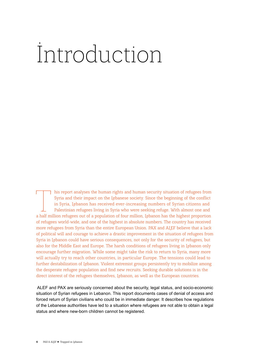### <span id="page-5-0"></span>Introduction

T his report analyses the human rights and human security situation of refugees from Syria and their impact on the Lebanese society. Since the beginning of the conflict in Syria, Lebanon has received ever-increasing number Syria and their impact on the Lebanese society. Since the beginning of the conflict in Syria, Lebanon has received ever-increasing numbers of Syrian citizens and Palestinian refugees living in Syria who were seeking refuge. With almost one and of refugees world-wide, and one of the highest in absolute numbers. The country has received more refugees from Syria than the entire European Union. PAX and ALEF believe that a lack of political will and courage to achieve a drastic improvement in the situation of refugees from Syria in Lebanon could have serious consequences, not only for the security of refugees, but also for the Middle East and Europe. The harsh conditions of refugees living in Lebanon only encourage further migration. While some might take the risk to return to Syria, many more will actually try to reach other countries, in particular Europe. The tensions could lead to further destabilization of Lebanon. Violent extremist groups persistently try to mobilize among the desperate refugee population and find new recruits. Seeking durable solutions is in the direct interest of the refugees themselves, Lebanon, as well as the European countries.

 ALEF and PAX are seriously concerned about the security, legal status, and socio-economic situation of Syrian refugees in Lebanon. This report documents cases of denial of access and forced return of Syrian civilians who could be in immediate danger. It describes how regulations of the Lebanese authorities have led to a situation where refugees are not able to obtain a legal status and where new-born children cannot be registered.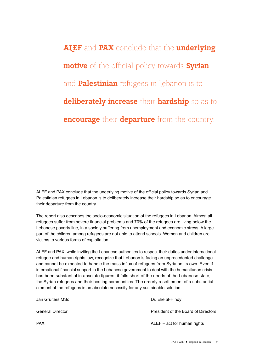**ALEF** and **PAX** conclude that the **underlying motive** of the official policy towards **Syrian** and **Palestinian** refugees in Lebanon is to **deliberately increase** their **hardship** so as to **encourage** their **departure** from the country.

ALEF and PAX conclude that the underlying motive of the official policy towards Syrian and Palestinian refugees in Lebanon is to deliberately increase their hardship so as to encourage their departure from the country.

The report also describes the socio-economic situation of the refugees in Lebanon. Almost all refugees suffer from severe financial problems and 70% of the refugees are living below the Lebanese poverty line, in a society suffering from unemployment and economic stress. A large part of the children among refugees are not able to attend schools. Women and children are victims to various forms of exploitation.

ALEF and PAX, while inviting the Lebanese authorities to respect their duties under international refugee and human rights law, recognize that Lebanon is facing an unprecedented challenge and cannot be expected to handle the mass influx of refugees from Syria on its own. Even if international financial support to the Lebanese government to deal with the humanitarian crisis has been substantial in absolute figures, it falls short of the needs of the Lebanese state, the Syrian refugees and their hosting communities. The orderly resettlement of a substantial element of the refugees is an absolute necessity for any sustainable solution.

| Jan Gruiters MSc | Dr. Elie al-Hindy                   |
|------------------|-------------------------------------|
| General Director | President of the Board of Directors |
| PAX              | $ALEF - act$ for human rights       |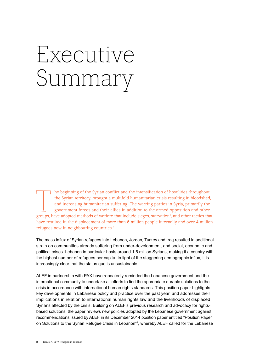### <span id="page-7-0"></span>Executive Summary

T he beginning of the Syrian conflict and the intensification of hostilities throughout the Syrian territory, brought a multifold humanitarian crisis resulting in bloodshed, and increasing humanitarian suffering. The warri the Syrian territory, brought a multifold humanitarian crisis resulting in bloodshed, and increasing humanitarian suffering. The warring parties in Syria, primarily the government forces and their allies in addition to the armed opposition and other have resulted in the displacement of more than 6 million people internally and over 4 million refugees now in neighbouring countries.[2](#page-33-2)

<span id="page-7-2"></span><span id="page-7-1"></span>The mass influx of Syrian refugees into Lebanon, Jordan, Turkey and Iraq resulted in additional strain on communities already suffering from under-development, and social, economic and political crises. Lebanon in particular hosts around 1.5 million Syrians, making it a country with the highest number of refugees per capita. In light of the staggering demographic influx, it is increasingly clear that the status quo is unsustainable.

<span id="page-7-3"></span>ALEF in partnership with PAX have repeatedly reminded the Lebanese government and the international community to undertake all efforts to find the appropriate durable solutions to the crisis in accordance with international human rights standards. This position paper highlights key developments in Lebanese policy and practice over the past year, and addresses their implications in relation to international human rights law and the livelihoods of displaced Syrians affected by the crisis. Building on ALEF's previous research and advocacy for rightsbased solutions, the paper reviews new policies adopted by the Lebanese government against recommendations issued by ALEF in its December 2014 position paper entitled "Position Paper on Solutions to the Syrian Refugee Crisis in Lebanon"[3](#page-33-3) , whereby ALEF called for the Lebanese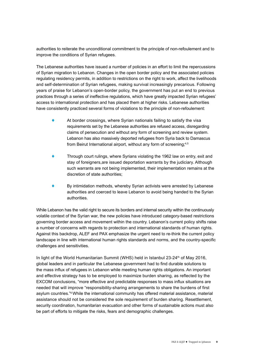authorities to reiterate the unconditional commitment to the principle of non-refoulement and to improve the conditions of Syrian refugees.

The Lebanese authorities have issued a number of policies in an effort to limit the repercussions of Syrian migration to Lebanon. Changes in the open border policy and the associated policies regulating residency permits, in addition to restrictions on the right to work, affect the livelihoods and self-determination of Syrian refugees, making survival increasingly precarious. Following years of praise for Lebanon's open-border policy, the government has put an end to previous practices through a series of ineffective regulations, which have greatly impacted Syrian refugees' access to international protection and has placed them at higher risks. Lebanese authorities have consistently practiced several forms of violations to the principle of non-refoulement:

- $\blacklozenge$  At border crossings, where Syrian nationals failing to satisfy the visa requirements set by the Lebanese authorities are refused access, disregarding claims of persecution and without any form of screening and review system. Lebanon has also massively deported refugees from Syria back to Damascus from Beirut International airport, without any form of screening;<sup>[4,](#page-33-4)[5](#page-33-5)</sup>
- <span id="page-8-0"></span>! Through court rulings, where Syrians violating the 1962 law on entry, exit and stay of foreigners,are issued deportation warrants by the judiciary. Although such warrants are not being implemented, their implementation remains at the discretion of state authorities;
- ! By intimidation methods, whereby Syrian activists were arrested by Lebanese authorities and coerced to leave Lebanon to avoid being handed to the Syrian authorities.

While Lebanon has the valid right to secure its borders and internal security within the continuously volatile context of the Syrian war, the new policies have introduced category-based restrictions governing border access and movement within the country. Lebanon's current policy shifts raise a number of concerns with regards to protection and international standards of human rights. Against this backdrop, ALEF and PAX emphasize the urgent need to re-think the current policy landscape in line with international human rights standards and norms, and the country-specific challenges and sensitivities.

<span id="page-8-1"></span>In light of the World Humanitarian Summit (WHS) held in Istanbul 23-24<sup>th</sup> of May 2016, global leaders and in particular the Lebanese government had to find durable solutions to the mass influx of refugees in Lebanon while meeting human rights obligations. An important and effective strategy has to be employed to maximize burden sharing, as reflected by the EXCOM conclusions, "more effective and predictable responses to mass influx situations are needed that will improve "responsibility-sharing arrangements to share the burdens of first asylum countries."<sup>6</sup> While the international community has offered material assistance, material assistance should not be considered the sole requirement of burden sharing. Resettlement, security coordination, humanitarian evacuation and other forms of sustainable actions must also be part of efforts to mitigate the risks, fears and demographic challenges.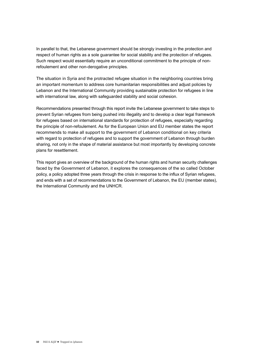In parallel to that, the Lebanese government should be strongly investing in the protection and respect of human rights as a sole guarantee for social stability and the protection of refugees. Such respect would essentially require an unconditional commitment to the principle of nonrefoulement and other non-derogative principles.

The situation in Syria and the protracted refugee situation in the neighboring countries bring an important momentum to address core humanitarian responsibilities and adjust policies by Lebanon and the International Community providing sustainable protection for refugees in line with international law, along with safeguarded stability and social cohesion.

Recommendations presented through this report invite the Lebanese government to take steps to prevent Syrian refugees from being pushed into illegality and to develop a clear legal framework for refugees based on international standards for protection of refugees, especially regarding the principle of non-refoulement. As for the European Union and EU member states the report recommends to make all support to the government of Lebanon conditional on key criteria with regard to protection of refugees and to support the government of Lebanon through burden sharing, not only in the shape of material assistance but most importantly by developing concrete plans for resettlement.

This report gives an overview of the background of the human rights and human security challenges faced by the Government of Lebanon, it explores the consequences of the so called October policy, a policy adopted three years through the crisis in response to the influx of Syrian refugees, and ends with a set of recommendations to the Government of Lebanon, the EU (member states), the International Community and the UNHCR.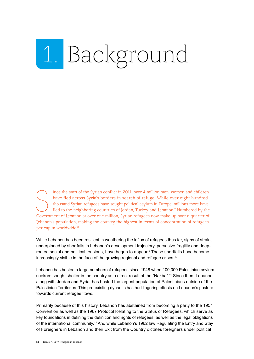### <span id="page-11-0"></span>1. Background

<span id="page-11-1"></span>Ince the start of the Syrian conflict in 2011, over 4 million men, women and children<br>have fled across Syria's borders in search of refuge. While over eight hundred<br>thousand Syrian refugees have sought political asylum in ince the start of the Syrian conflict in 2011, over 4 million men, women and children have fled across Syria's borders in search of refuge. While over eight hundred thousand Syrian refugees have sought political asylum in Europe, millions more have fled to the neighboring countries of Jordan, Turkey and Lebanon.[7](#page-33-7) Numbered by the Lebanon's population, making the country the highest in terms of concentration of refugees per capita worldwide.<sup>8</sup>

<span id="page-11-3"></span><span id="page-11-2"></span>While Lebanon has been resilient in weathering the influx of refugees thus far, signs of strain, underpinned by shortfalls in Lebanon's development trajectory, pervasive fragility and deeprooted social and political tensions, have begun to appear.<sup>9</sup> These shortfalls have become increasingly visible in the face of the growing regional and refugee crises.<sup>10</sup>

<span id="page-11-5"></span><span id="page-11-4"></span>Lebanon has hosted a large numbers of refugees since 1948 when 100,000 Palestinian asylum seekers sought shelter in the country as a direct result of the "Nakba".<sup>11</sup> Since then, Lebanon, along with Jordan and Syria, has hosted the largest population of Palestinians outside of the Palestinian Territories. This pre-existing dynamic has had lingering effects on Lebanon's posture towards current refugee flows.

<span id="page-11-6"></span>Primarily because of this history, Lebanon has abstained from becoming a party to the 1951 Convention as well as the 1967 Protocol Relating to the Status of Refugees, which serve as key foundations in defining the definition and rights of refugees, as well as the legal obligations of the international community[.12](#page-33-12) And while Lebanon's 1962 law Regulating the Entry and Stay of Foreigners in Lebanon and their Exit from the Country dictates foreigners under political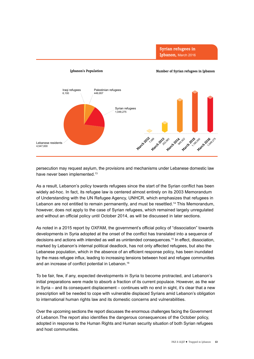

**Syrian refugees in Lebanon,** March 2016

<span id="page-12-0"></span>persecution may request asylum, the provisions and mechanisms under Lebanese domestic law have never been implemented.<sup>[13](#page-33-13)</sup>

<span id="page-12-1"></span>As a result, Lebanon's policy towards refugees since the start of the Syrian conflict has been widely ad-hoc. In fact, its refugee law is centered almost entirely on its 2003 Memorandum of Understanding with the UN Refugee Agency, UNHCR, which emphasizes that refugees in Lebanon are not entitled to remain permanently, and must be resettled.<sup>[14](#page-33-14)</sup> This Memorandum, however, does not apply to the case of Syrian refugees, which remained largely unregulated and without an official policy until October 2014, as will be discussed in later sections.

<span id="page-12-2"></span>As noted in a 2015 report by OXFAM, the government's official policy of "dissociation" towards developments in Syria adopted at the onset of the conflict has translated into a sequence of decisions and actions with intended as well as unintended consequences.<sup>[15](#page-33-15)</sup> In effect, dissociation, marked by Lebanon's internal political deadlock, has not only affected refugees, but also the Lebanese population, which in the absence of an efficient response policy, has been inundated by the mass refugee influx, leading to increasing tensions between host and refugee communities and an increase of conflict potential in Lebanon.<sup>[16](#page-34-0)</sup>

<span id="page-12-3"></span>To be fair, few, if any, expected developments in Syria to become protracted, and Lebanon's initial preparations were made to absorb a fraction of its current populace. However, as the war in Syria – and its consequent displacement – continues with no end in sight, it's clear that a new prescription will be needed to cope with vulnerable displaced Syrians amid Lebanon's obligation to international human rights law and its domestic concerns and vulnerabilities.

Over the upcoming sections the report discusses the enormous challenges facing the Government of Lebanon.The report also identifies the dangerous consequences of the October policy, adopted in response to the Human Rights and Human security situation of both Syrian refugees and host communities.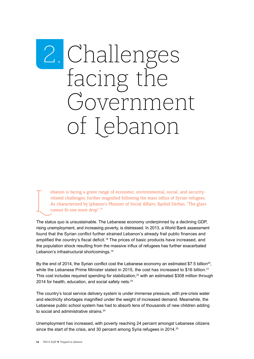# <span id="page-13-0"></span>2. Challenges<br>facing the<br>Government of Lebanon

<span id="page-13-1"></span>ebanon is facing a grave range of economic, environmental, social, and securityrelated challenges, further magnified following the mass influx of Syrian refugees. As characterized by Lebanon's Minister of Social Affairs, Rashid Derbas, "The glass cannot fit one more drop".[17](#page-34-1)

<span id="page-13-2"></span>The status quo is unsustainable. The Lebanese economy underpinned by a declining GDP, rising unemployment, and increasing poverty, is distressed. In 2013, a World Bank assessment found that the Syrian conflict further strained Lebanon's already frail public finances and amplified the country's fiscal deficit.<sup>[18](#page-34-2)</sup> The prices of basic products have increased, and the population shock resulting from the massive influx of refugees has further exacerbated Lebanon's infrastructural shortcomings.<sup>19</sup>

<span id="page-13-6"></span><span id="page-13-5"></span><span id="page-13-4"></span><span id="page-13-3"></span>By the end of [20](#page-34-4)14, the Syrian conflict cost the Lebanese economy an estimated \$7.5 billion<sup>20</sup>, while the Lebanese Prime Minister stated in 2015, the cost has increased to \$16 billion.<sup>[21](#page-34-5)</sup> This cost includes required spending for stabilization,<sup>[22](#page-34-6)</sup> with an estimated \$308 million through 2014 for health, education, and social safety nets.<sup>[23](#page-34-7)</sup>

<span id="page-13-7"></span>The country's local service delivery system is under immense pressure, with pre-crisis water and electricity shortages magnified under the weight of increased demand. Meanwhile, the Lebanese public school system has had to absorb tens of thousands of new children adding to social and administrative strains.<sup>[24](#page-34-8)</sup>

<span id="page-13-9"></span><span id="page-13-8"></span>Unemployment has increased, with poverty reaching 24 percent amongst Lebanese citizens since the start of the crisis, and 30 percent among Syria refugees in 2014.<sup>[25](#page-34-9)</sup>

 $\sqrt{\frac{1}{2}}$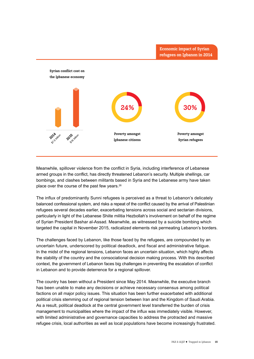

Meanwhile, spillover violence from the conflict in Syria, including interference of Lebanese armed groups in the conflict, has directly threatened Lebanon's security. Multiple shellings, car bombings, and clashes between militants based in Syria and the Lebanese army have taken place over the course of the past few years[.26](#page-34-10)

<span id="page-14-0"></span>The influx of predominantly Sunni refugees is perceived as a threat to Lebanon's delicately balanced confessional system, and risks a repeat of the conflict caused by the arrival of Palestinian refugees several decades earlier, exacerbating tensions across social and sectarian divisions, particularly in light of the Lebanese Shiite militia Hezbollah's involvement on behalf of the regime of Syrian President Bashar al-Assad. Meanwhile, as witnessed by a suicide bombing which targeted the capital in November 2015, radicalized elements risk permeating Lebanon's borders.

The challenges faced by Lebanon, like those faced by the refugees, are compounded by an uncertain future, underscored by political deadlock, and fiscal and administrative fatigue. In the midst of the regional tensions, Lebanon faces an uncertain situation, which highly affects the stability of the country and the consociational decision making process. With this described context, the government of Lebanon faces big challenges in preventing the escalation of conflict in Lebanon and to provide deterrence for a regional spillover.

The country has been without a President since May 2014. Meanwhile, the executive branch has been unable to make any decisions or achieve necessary consensus among political factions on all major policy issues. This situation has been further exacerbated with additional political crisis stemming out of regional tension between Iran and the Kingdom of Saudi Arabia. As a result, political deadlock at the central government level transferred the burden of crisis management to municipalities where the impact of the influx was immediately visible. However, with limited administrative and governance capacities to address the protracted and massive refugee crisis, local authorities as well as local populations have become increasingly frustrated.

**Economic impact of Syrian**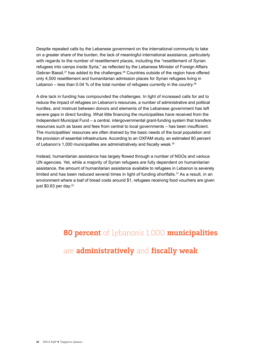<span id="page-15-1"></span><span id="page-15-0"></span>Despite repeated calls by the Lebanese government on the international community to take on a greater share of the burden, the lack of meaningful international assistance, particularly with regards to the number of resettlement places, including the "resettlement of Syrian refugees into camps inside Syria," as reflected by the Lebanese Minister of Foreign Affairs Gebran Bassil,<sup>[27](#page-34-11)</sup> has added to the challenges.<sup>[28](#page-34-12)</sup> Countries outside of the region have offered only 4,500 resettlement and humanitarian admission places for Syrian refugees living in Lebanon – less than 0.04 % of the total number of refugees currently in the country.<sup>[29](#page-34-13)</sup>

<span id="page-15-2"></span>A dire lack in funding has compounded the challenges. In light of increased calls for aid to reduce the impact of refugees on Lebanon's resources, a number of administrative and political hurdles, and mistrust between donors and elements of the Lebanese government has left severe gaps in direct funding. What little financing the municipalities have received from the Independent Municipal Fund – a central, intergovernmental grant-funding system that transfers resources such as taxes and fees from central to local governments – has been insufficient. The municipalities' resources are often drained by the basic needs of the local population and the provision of essential infrastructure. According to an OXFAM study, an estimated 80 percent of Lebanon's 1,000 municipalities are administratively and fiscally weak.<sup>[30](#page-34-14)</sup>

<span id="page-15-5"></span><span id="page-15-4"></span><span id="page-15-3"></span>Instead, humanitarian assistance has largely flowed through a number of NGOs and various UN agencies. Yet, while a majority of Syrian refugees are fully dependent on humanitarian assistance, the amount of humanitarian assistance available to refugees in Lebanon is severely limited and has been reduced several times in light of funding shortfalls.<sup>[31](#page-34-15)</sup> As a result, in an environment where a loaf of bread costs around \$1, refugees receiving food vouchers are given just  $$0.63$  per day.  $32$ 

#### **80 percent** of Lebanon's 1,000 **municipalities**

#### are **administratively** and **fiscally weak**.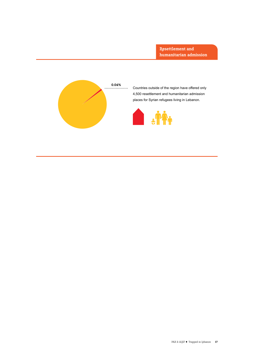

Countries outside of the region have offered only 4,500 resettlement and humanitarian admission places for Syrian refugees living in Lebanon.

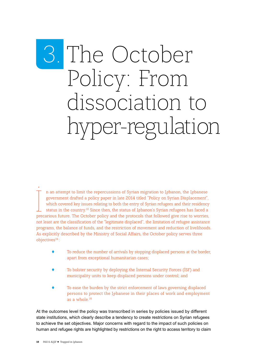### <span id="page-17-0"></span>3. The October Policy: From dissociation to hyper-regulation

<span id="page-17-1"></span>n an attempt to limit the repercussions of Syrian migration to Lebanon, the Lebanese<br>government drafted a policy paper in late 2014 titled "Policy on Syrian Displacement",<br>which covered key issues relating to both the entr n an attempt to limit the repercussions of Syrian migration to Lebanon, the Lebanese government drafted a policy paper in late 2014 titled "Policy on Syrian Displacement", which covered key issues relating to both the entry of Syrian refugees and their residency status in the country.<sup>[33](#page-34-17)</sup> Since then, the status of Lebanon's Syrian refugees has faced a not least are the classification of the "legitimate displaced", the limitation of refugee assistance programs, the balance of funds, and the restriction of movement and reduction of livelihoods. As explicitly described by the Ministry of Social Affairs, the October policy serves three objectives<sup>[34](#page-34-18)</sup>:

- <span id="page-17-2"></span>! To reduce the number of arrivals by stopping displaced persons at the border, apart from exceptional humanitarian cases;
- ! To bolster security by deploying the Internal Security Forces (ISF) and municipality units to keep displaced persons under control; and
- ! To ease the burden by the strict enforcement of laws governing displaced persons to protect the Lebanese in their places of work and employment as a whole.[35](#page-34-19)

<span id="page-17-3"></span>At the outcomes level the policy was transcribed in series by policies issued by different state institutions, which clearly describe a tendency to create restrictions on Syrian refugees to achieve the set objectives. Major concerns with regard to the impact of such policies on human and refugee rights are highlighted by restrictions on the right to access territory to claim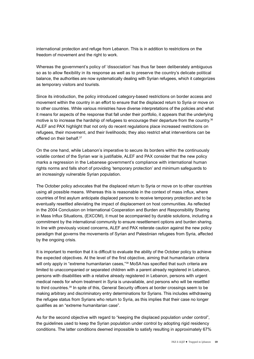international protection and refuge from Lebanon. This is in addition to restrictions on the freedom of movement and the right to work.

Whereas the government's policy of 'dissociation' has thus far been deliberately ambiguous so as to allow flexibility in its response as well as to preserve the country's delicate political balance, the authorities are now systematically dealing with Syrian refugees, which it categorizes as temporary visitors and tourists.

<span id="page-18-0"></span>Since its introduction, the policy introduced category-based restrictions on border access and movement within the country in an effort to ensure that the displaced return to Syria or move on to other countries. While various ministries have diverse interpretations of the policies and what it means for aspects of the response that fall under their portfolio, it appears that the underlying motive is to increase the hardship of refugees to encourage their departure from the country.<sup>[36](#page-34-20)</sup> ALEF and PAX highlight that not only do recent regulations place increased restrictions on refugees, their movement, and their livelihoods; they also restrict what interventions can be offered on their behalf.<sup>[37](#page-34-21)</sup>

<span id="page-18-1"></span>On the one hand, while Lebanon's imperative to secure its borders within the continuously volatile context of the Syrian war is justifiable, ALEF and PAX consider that the new policy marks a regression in the Lebanese government's compliance with international human rights norms and falls short of providing 'temporary protection' and minimum safeguards to an increasingly vulnerable Syrian population.

The October policy advocates that the displaced return to Syria or move on to other countries using all possible means. Whereas this is reasonable in the context of mass influx, where countries of first asylum anticipate displaced persons to receive temporary protection and to be eventually resettled alleviating the impact of displacement on host communities. As reflected in the 2004 Conclusion on International Cooperation and Burden and Responsibility Sharing in Mass Influx Situations, (EXCOM), it must be accompanied by durable solutions, including a commitment by the international community to ensure resettlement options and burden sharing. In line with previously voiced concerns, ALEF and PAX reiterate caution against the new policy paradigm that governs the movements of Syrian and Palestinian refugees from Syria, affected by the ongoing crisis.

<span id="page-18-2"></span>It is important to mention that it is difficult to evaluate the ability of the October policy to achieve the expected objectives. At the level of the first objective, aiming that humanitarian criteria will only apply in "extreme humanitarian cases,"<sup>38</sup> MoSA has specified that such criteria are limited to unaccompanied or separated children with a parent already registered in Lebanon, persons with disabilities with a relative already registered in Lebanon, persons with urgent medical needs for whom treatment in Syria is unavailable, and persons who will be resettled to third countries.<sup>[39](#page-34-23)</sup> In spite of this, General Security officers at border crossings seem to be making arbitrary and discriminatory entry determinations for Syrians. This includes withdrawing the refugee status from Syrians who return to Syria, as this implies that their case no longer qualifies as an "extreme humanitarian case".

<span id="page-18-3"></span>As for the second objective with regard to "keeping the displaced population under control", the guidelines used to keep the Syrian population under control by adopting rigid residency conditions. The latter conditions deemed impossible to satisfy resulting in approximately 67%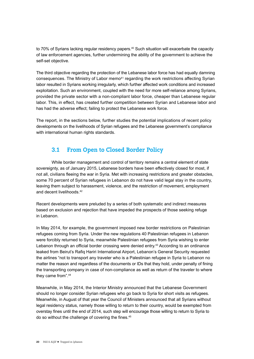<span id="page-19-1"></span><span id="page-19-0"></span>to 70% of Syrians lacking regular residency papers.<sup>[40](#page-34-24)</sup> Such situation will exacerbate the capacity of law enforcement agencies, further undermining the ability of the government to achieve the self-set objective.

<span id="page-19-2"></span>The third objective regarding the protection of the Lebanese labor force has had equally damning consequences. The Ministry of Labor memo<sup>41</sup> regarding the work restrictions affecting Syrian labor resulted in Syrians working irregularly, which further affected work conditions and increased exploitation. Such an environment, coupled with the need for more self-reliance among Syrians, provided the private sector with a non-compliant labor force, cheaper than Lebanese regular labor. This, in effect, has created further competition between Syrian and Lebanese labor and has had the adverse effect; failing to protect the Lebanese work force.

The report, in the sections below, further studies the potential implications of recent policy developments on the livelihoods of Syrian refugees and the Lebanese government's compliance with international human rights standards.

#### **3.1 From Open to Closed Border Policy**

While border management and control of territory remains a central element of state sovereignty, as of January 2015, Lebanese borders have been effectively closed for most, if not all, civilians fleeing the war in Syria. Met with increasing restrictions and greater obstacles, some 70 percent of Syrian refugees in Lebanon do not have valid legal stay in the country, leaving them subject to harassment, violence, and the restriction of movement, employment and decent livelihoods.[42](#page-34-26)

<span id="page-19-3"></span>Recent developments were preluded by a series of both systematic and indirect measures based on exclusion and rejection that have impeded the prospects of those seeking refuge in Lebanon.

<span id="page-19-4"></span>In May 2014, for example, the government imposed new border restrictions on Palestinian refugees coming from Syria. Under the new regulations 40 Palestinian refugees in Lebanon were forcibly returned to Syria, meanwhile Palestinian refugees from Syria wishing to enter Lebanon through an official border crossing were denied entry.<sup>[43](#page-34-27)</sup> According to an ordinance leaked from Beirut's Rafiq Hariri International Airport, Lebanon's General Security requested the airlines "not to transport any traveler who is a Palestinian refugee in Syria to Lebanon no matter the reason and regardless of the documents or IDs that they hold, under penalty of fining the transporting company in case of non-compliance as well as return of the traveler to where they came from".[44](#page-34-28)

<span id="page-19-6"></span><span id="page-19-5"></span>Meanwhile, in May 2014, the Interior Ministry announced that the Lebanese Government should no longer consider Syrian refugees who go back to Syria for short visits as refugees. Meanwhile, in August of that year the Council of Ministers announced that all Syrians without legal residency status, namely those willing to return to their country, would be exempted from overstay fines until the end of 2014, such step will encourage those willing to return to Syria to do so without the challenge of covering the fines.<sup>45</sup>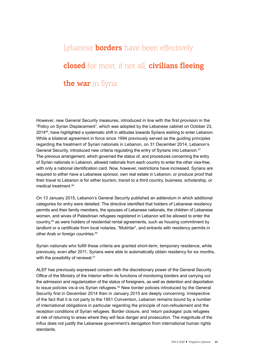#### Lebanese **borders** have been effectively **closed** for most, if not all, **civilians fleeing the war** in Syria.

<span id="page-20-1"></span><span id="page-20-0"></span>However, new General Security measures, introduced in line with the first provision in the "Policy on Syrian Displacement", which was adopted by the Lebanese cabinet on October 23, 2014[46,](#page-35-0) have highlighted a systematic shift in attitudes towards Syrians wishing to enter Lebanon. While a bilateral agreement in force since 1994 previously served as the guiding principles regarding the treatment of Syrian nationals in Lebanon, on 31 December 2014, Lebanon's General Security, introduced new criteria regulating the entry of Syrians into Lebanon.<sup>[47](#page-35-1)</sup> The previous arrangement, which governed the status of, and procedures concerning the entry of Syrian nationals in Lebanon, allowed nationals from each country to enter the other visa-free, with only a national identification card. Now, however, restrictions have increased. Syrians are required to either have a Lebanese sponsor, own real estate in Lebanon, or produce proof that their travel to Lebanon is for either tourism, transit to a third country, business, scholarship, or medical treatment[.48](#page-35-2)

<span id="page-20-3"></span><span id="page-20-2"></span>On 13 January 2015, Lebanon's General Security published an addendum in which additional categories for entry were detailed. The directive identified that holders of Lebanese residency permits and their family members, the spouses of Lebanese nationals, the children of Lebanese women, and wives of Palestinian refugees registered in Lebanon will be allowed to enter the country,[49](#page-35-3) as were holders of residential rental agreements, such as housing commitment by landlord or a certificate from local notaries, "Mukhtar", and entrants with residency permits in other Arab or foreign countries.<sup>50</sup>

<span id="page-20-5"></span><span id="page-20-4"></span>Syrian nationals who fulfill these criteria are granted short-term, temporary residence, while previously, even after 2011, Syrians were able to automatically obtain residency for six months, with the possibility of renewal.<sup>51</sup>

<span id="page-20-6"></span>ALEF has previously expressed concern with the discretionary power of the General Security Office of the Ministry of the Interior within its functions of monitoring borders and carrying out the admission and regularization of the status of foreigners, as well as detention and deportation to issue policies vis-à-vis Syrian refugees.<sup>52</sup> New border policies introduced by the General Security first in December 2014 then in January 2015 are deeply concerning. Irrespective of the fact that it is not party to the 1951 Convention, Lebanon remains bound by a number of international obligations in particular regarding the principle of non-refoulement and the reception conditions of Syrian refugees. Border closure, and 'return packages' puts refugees at risk of returning to areas where they will face danger and prosecution. The magnitude of the influx does not justify the Lebanese government's derogation from international human rights standards.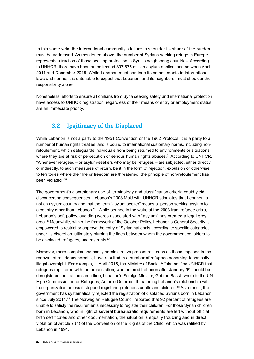<span id="page-21-0"></span>In this same vein, the international community's failure to shoulder its share of the burden must be addressed. As mentioned above, the number of Syrians seeking refuge in Europe represents a fraction of those seeking protection in Syria's neighboring countries. According to UNHCR, there have been an estimated 897,675 million asylum applications between April 2011 and December 2015. While Lebanon must continue its commitments to international laws and norms, it is untenable to expect that Lebanon, and its neighbors, must shoulder the responsibility alone.

Nonetheless, efforts to ensure all civilians from Syria seeking safety and international protection have access to UNHCR registration, regardless of their means of entry or employment status, are an immediate priority.

#### **3.2 Legitimacy of the Displaced**

<span id="page-21-1"></span>While Lebanon is not a party to the 1951 Convention or the 1962 Protocol, it is a party to a number of human rights treaties, and is bound to international customary norms, including nonrefoulement, which safeguards individuals from being returned to environments or situations where they are at risk of persecution or serious human rights abuses.<sup>53</sup> According to UNHCR, "Whenever refugees – or asylum-seekers who may be refugees – are subjected, either directly or indirectly, to such measures of return, be it in the form of rejection, expulsion or otherwise, to territories where their life or freedom are threatened, the principle of non-refoulement has been violated."[54](#page-35-8)

<span id="page-21-4"></span><span id="page-21-3"></span><span id="page-21-2"></span>The government's discretionary use of terminology and classification criteria could yield disconcerting consequences. Lebanon's 2003 MoU with UNHCR stipulates that Lebanon is not an asylum country and that the term "asylum seeker" means a "person seeking asylum to a country other than Lebanon."[55](#page-35-9) While penned in the wake of the 2003 Iraqi refugee crisis, Lebanon's soft policy, avoiding words associated with "asylum" has created a legal grey area.[56](#page-35-10) Meanwhile, within the framework of the October Policy, Lebanon's General Security is empowered to restrict or approve the entry of Syrian nationals according to specific categories under its discretion, ultimately blurring the lines between whom the government considers to be displaced, refugees, and migrants.<sup>[57](#page-35-11)</sup>

<span id="page-21-7"></span><span id="page-21-6"></span><span id="page-21-5"></span>Moreover, more complex and costly administrative procedures, such as those imposed in the renewal of residency permits, have resulted in a number of refugees becoming technically illegal overnight. For example, in April 2015, the Ministry of Social Affairs notified UNHCR that refugees registered with the organization, who entered Lebanon after January 5<sup>th</sup> should be deregistered, and at the same time, Lebanon's Foreign Minister, Gebran Bassil, wrote to the UN High Commissioner for Refugees, Antonio Guterres, threatening Lebanon's relationship with the organization unless it stopped registering refugees adults and children.[58](#page-35-12) As a result, the government has systematically rejected the registration of displaced Syrians born in Lebanon since July 2014.<sup>[59](#page-35-13)</sup> The Norwegian Refugee Council reported that 92 percent of refugees are unable to satisfy the requirements necessary to register their children. For those Syrian children born in Lebanon, who in light of several bureaucratic requirements are left without official birth certificates and other documentation, the situation is equally troubling and in direct violation of Article 7 (1) of the Convention of the Rights of the Child, which was ratified by Lebanon in 1991.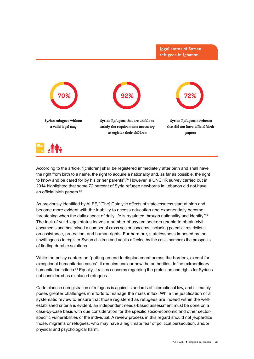

<span id="page-22-0"></span>According to the article, "[children] shall be registered immediately after birth and shall have the right from birth to a name, the right to acquire a nationality and, as far as possible, the right to know and be cared for by his or her parents".<sup>[60](#page-35-14)</sup> However, a UNCHR survey carried out in 2014 highlighted that some 72 percent of Syria refugee newborns in Lebanon did not have an official birth papers.<sup>[61](#page-35-15)</sup>

<span id="page-22-2"></span><span id="page-22-1"></span>As previously identified by ALEF, "[The] Catalytic effects of statelessness start at birth and become more evident with the inability to access education and exponentially become threatening when the daily aspect of daily life is regulated through nationality and identity."<sup>62</sup> The lack of valid legal status leaves a number of asylum seekers unable to obtain civil documents and has raised a number of cross sector concerns, including potential restrictions on assistance, protection, and human rights. Furthermore, statelessness imposed by the unwillingness to register Syrian children and adults affected by the crisis hampers the prospects of finding durable solutions.

<span id="page-22-3"></span>While the policy centers on "putting an end to displacement across the borders, except for exceptional humanitarian cases", it remains unclear how the authorities define extraordinary humanitarian criteria.<sup>63</sup> Equally, it raises concerns regarding the protection and rights for Syrians not considered as displaced refugees.

Carte blanche deregistration of refugees is against standards of international law, and ultimately poses greater challenges in efforts to manage the mass influx. While the justification of a systematic review to ensure that those registered as refugees are indeed within the wellestablished criteria is evident, an independent needs-based assessment must be done on a case-by-case basis with due consideration for the specific socio-economic and other sectorspecific vulnerabilities of the individual. A review process in this regard should not jeopardize those, migrants or refugees, who may have a legitimate fear of political persecution, and/or physical and psychological harm.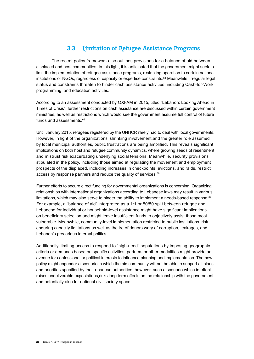#### **3.3 Limitation of Refugee Assistance Programs**

<span id="page-23-1"></span><span id="page-23-0"></span>The recent policy framework also outlines provisions for a balance of aid between displaced and host communities. In this light, it is anticipated that the government might seek to limit the implementation of refugee assistance programs, restricting operation to certain national institutions or NGOs, regardless of capacity or expertise constraints.[64](#page-35-18) Meanwhile, irregular legal status and constraints threaten to hinder cash assistance activities, including Cash-for-Work programming, and education activities.

According to an assessment conducted by OXFAM in 2015, titled "Lebanon: Looking Ahead in Times of Crisis", further restrictions on cash assistance are discussed within certain government ministries, as well as restrictions which would see the government assume full control of future funds and assessments.<sup>[65](#page-35-19)</sup>

<span id="page-23-2"></span>Until January 2015, refugees registered by the UNHCR rarely had to deal with local governments. However, in light of the organizations' shrinking involvement,and the greater role assumed by local municipal authorities, public frustrations are being amplified. This reveals significant implications on both host and refugee community dynamics, where growing seeds of resentment and mistrust risk exacerbating underlying social tensions. Meanwhile, security provisions stipulated in the policy, including those aimed at regulating the movement and employment prospects of the displaced, including increases in checkpoints, evictions, and raids, restrict access by response partners and reduce the quality of services.<sup>[66](#page-35-20)</sup>

<span id="page-23-4"></span><span id="page-23-3"></span>Further efforts to secure direct funding for governmental organizations is concerning. Organizing relationships with international organizations according to Lebanese laws may result in various limitations, which may also serve to hinder the ability to implement a needs-based response. $67$ For example, a "balance of aid" interpreted as a 1:1 or 50/50 split between refugee and Lebanese for individual or household-level assistance might have significant implications on beneficiary selection and might leave insufficient funds to objectively assist those most vulnerable. Meanwhile, community-level implementation restricted to public institutions, risk enduring capacity limitations as well as the ire of donors wary of corruption, leakages, and Lebanon's precarious internal politics.

Additionally, limiting access to respond to "high-need" populations by imposing geographic criteria or demands based on specific activities, partners or other modalities might provide an avenue for confessional or political interests to influence planning and implementation. The new policy might engender a scenario in which the aid community will not be able to support all plans and priorities specified by the Lebanese authorities, however, such a scenario which in effect raises undeliverable expectations,risks long term effects on the relationship with the government, and potentially also for national civil society space.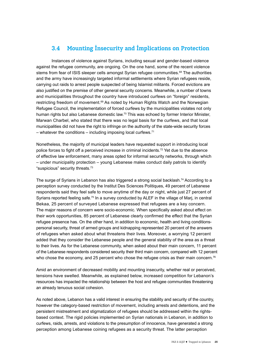#### <span id="page-24-0"></span>**3.4 Mounting Insecurity and Implications on Protection**

<span id="page-24-2"></span><span id="page-24-1"></span>Instances of violence against Syrians, including sexual and gender-based violence against the refugee community, are ongoing. On the one hand, some of the recent violence stems from fear of ISIS sleeper cells amongst Syrian refugee communities.<sup>[68](#page-35-22)</sup> The authorities and the army have increasingly targeted informal settlements where Syrian refugees reside, carrying out raids to arrest people suspected of being Islamist militants. Forced evictions are also justified on the premise of other general security concerns. Meanwhile, a number of towns and municipalities throughout the country have introduced curfews on "foreign" residents, restricting freedom of movement.<sup>69</sup> As noted by Human Rights Watch and the Norwegian Refugee Council, the implementation of forced curfews by the municipalities violates not only human rights but also Lebanese domestic law.<sup>70</sup> This was echoed by former Interior Minister, Marwan Charbel, who stated that there was no legal basis for the curfews, and that local municipalities did not have the right to infringe on the authority of the state-wide security forces – whatever the conditions – including imposing local curfews. $71$ 

<span id="page-24-4"></span><span id="page-24-3"></span>Nonetheless, the majority of municipal leaders have requested support in introducing local police forces to fight off a perceived increase in criminal incidents.<sup>[72](#page-35-26)</sup> Yet due to the absence of effective law enforcement, many areas opted for informal security networks, through which – under municipality protection – young Lebanese males conduct daily patrols to identify "suspicious" security threats.[73](#page-35-27)

<span id="page-24-7"></span><span id="page-24-6"></span><span id="page-24-5"></span>The surge of Syrians in Lebanon has also triggered a strong social backlash.<sup>74</sup> According to a perception survey conducted by the Institut Des Sciences Politiques, 49 percent of Lebanese respondents said they feel safe to move anytime of the day or night, while just 27 percent of Syrians reported feeling safe.<sup>[75](#page-36-0)</sup> In a survey conducted by ALEF in the village of Marj, in central Bekaa, 25 percent of surveyed Lebanese expressed that refugees are a key concern. The major reasons of concern were socio-economic. When specifically asked about effect on their work opportunities, 85 percent of Lebanese clearly confirmed the effect that the Syrian refugee presence has. On the other hand, in addition to economic, health and living conditionspersonal security, threat of armed groups and kidnapping represented 20 percent of the answers of refugees when asked about what threatens their lives. Moreover, a worrying 12 percent added that they consider the Lebanese people and the general stability of the area as a threat to their lives. As for the Lebanese community, when asked about their main concern, 11 percent of the Lebanese respondents considered security their third main concern, compared with 12 percent who chose the economy, and 25 percent who chose the refugee crisis as their main concern.<sup>76</sup>

<span id="page-24-8"></span>Amid an environment of decreased mobility and mounting insecurity, whether real or perceived, tensions have swelled. Meanwhile, as explained below, increased competition for Lebanon's resources has impacted the relationship between the host and refugee communities threatening an already tenuous social cohesion.

As noted above, Lebanon has a valid interest in ensuring the stability and security of the country, however the category-based restriction of movement, including arrests and detentions, and the persistent mistreatment and stigmatization of refugees should be addressed within the rightsbased context. The rigid policies implemented on Syrian nationals in Lebanon, in addition to curfews, raids, arrests, and violations to the presumption of innocence, have generated a strong perception among Lebanese coining refugees as a security threat. The latter perception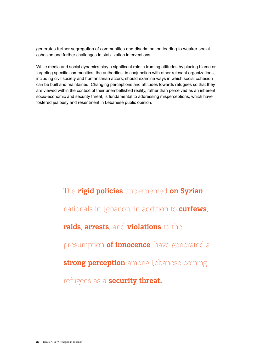generates further segregation of communities and discrimination leading to weaker social cohesion and further challenges to stabilization interventions.

While media and social dynamics play a significant role in framing attitudes by placing blame or targeting specific communities, the authorities, in conjunction with other relevant organizations, including civil society and humanitarian actors, should examine ways in which social cohesion can be built and maintained. Changing perceptions and attitudes towards refugees so that they are viewed within the context of their unembellished reality, rather than perceived as an inherent socio-economic and security threat, is fundamental to addressing misperceptions, which have fostered jealousy and resentment in Lebanese public opinion.

> The **rigid policies** implemented **on Syrian** nationals in Lebanon, in addition to **curfews**, **raids**, **arrests**, and **violations** to the presumption **of innocence**, have generated a **strong perception** among Lebanese coining refugees as a **security threat.**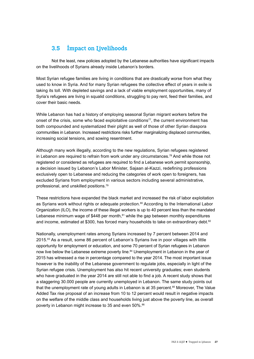#### <span id="page-26-0"></span>**3.5 Impact on Livelihoods**

Not the least, new policies adopted by the Lebanese authorities have significant impacts on the livelihoods of Syrians already inside Lebanon's borders.

Most Syrian refugee families are living in conditions that are drastically worse from what they used to know in Syria. And for many Syrian refugees the collective effect of years in exile is taking its toll. With depleted savings and a lack of viable employment opportunities, many of Syria's refugees are living in squalid conditions, struggling to pay rent, feed their families, and cover their basic needs.

<span id="page-26-1"></span>While Lebanon has had a history of employing seasonal Syrian migrant workers before the onset of the crisis, some who faced exploitative conditions $77$ , the current environment has both compounded and systematized their plight as well of those of other Syrian diaspora communities in Lebanon. Increased restrictions risks further marginalizing displaced communities, increasing social tensions, and sowing resentment.

<span id="page-26-2"></span>Although many work illegally, according to the new regulations, Syrian refugees registered in Lebanon are required to refrain from work under any circumstances.<sup>[78](#page-36-3)</sup> And while those not registered or considered as refugees are required to find a Lebanese work permit sponsorship, a decision issued by Lebanon's Labor Minister, Sajaan al-Kazzi, redefining professions exclusively open to Lebanese and reducing the categories of work open to foreigners, has excluded Syrians from employment in various sectors including several administrative, professional, and unskilled positions.[79](#page-36-4)

<span id="page-26-5"></span><span id="page-26-4"></span><span id="page-26-3"></span>These restrictions have expanded the black market and increased the risk of labor exploitation as Syrians work without rights or adequate protection.<sup>80</sup> According to the International Labor Organization (ILO), the income of these illegal workers is up to 40 percent less than the mandated Lebanese minimum wage of \$448 per month, $81$  while the gap between monthly expenditures and income, estimated at \$300, has forced many households to take on extraordinary debt.<sup>[82](#page-36-7)</sup>

<span id="page-26-10"></span><span id="page-26-9"></span><span id="page-26-8"></span><span id="page-26-7"></span><span id="page-26-6"></span>Nationally, unemployment rates among Syrians increased by 7 percent between 2014 and 2015.[83](#page-36-8) As a result, some 86 percent of Lebanon's Syrians live in poor villages with little opportunity for employment or education, and some 70 percent of Syrian refugees in Lebanon now live below the Lebanese extreme poverty line.<sup>84</sup> Unemployment in Lebanon in the year of 2015 has witnessed a rise in percentage compared to the year 2014. The most important issue however is the inability of the Lebanese government to regulate jobs, especially in light of the Syrian refugee crisis. Unemployment has also hit recent university graduates; even students who have graduated in the year 2014 are still not able to find a job. A recent study shows that a staggering 30.000 people are currently unemployed in Lebanon. The same study points out that the unemployment rate of young adults in Lebanon is at 35 percent.<sup>[85](#page-36-10)</sup> Moreover, The Value Added Tax rise proposal of an increase from 10 to 12 percent would result in negative impacts on the welfare of the middle class and households living just above the poverty line, as overall poverty in Lebanon might increase to 35 and even 50%.<sup>[86](#page-36-11)</sup>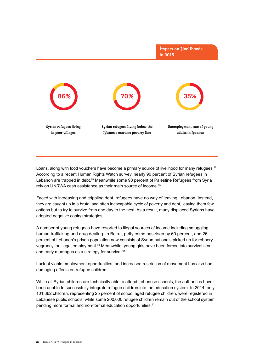

<span id="page-27-1"></span><span id="page-27-0"></span>Loans, along with food vouchers have become a primary source of livelihood for many refugees.<sup>87</sup> According to a recent Human Rights Watch survey, nearly 90 percent of Syrian refugees in Lebanon are trapped in debt.<sup>88</sup> Meanwhile some 98 percent of Palestine Refugees from Syria rely on UNRWA cash assistance as their main source of income.<sup>89</sup>

<span id="page-27-2"></span>Faced with increasing and crippling debt, refugees have no way of leaving Lebanon. Instead, they are caught up in a brutal and often inescapable cycle of poverty and debt, leaving them few options but to try to survive from one day to the next. As a result, many displaced Syrians have adopted negative coping strategies.

<span id="page-27-3"></span>A number of young refugees have resorted to illegal sources of income including smuggling, human trafficking and drug dealing. In Beirut, petty crime has risen by 60 percent, and 26 percent of Lebanon's prison population now consists of Syrian nationals picked up for robbery, vagrancy, or illegal employment.<sup>[90](#page-36-15)</sup> Meanwhile, young girls have been forced into survival sex and early marriages as a strategy for survival.<sup>91</sup>

<span id="page-27-4"></span>Lack of viable employment opportunities, and increased restriction of movement has also had damaging effects on refugee children.

<span id="page-27-5"></span>While all Syrian children are technically able to attend Lebanese schools, the authorities have been unable to successfully integrate refugee children into the education system. In 2014, only 101,362 children, representing 25 percent of school aged refugee children, were registered in Lebanese public schools, while some 200,000 refugee children remain out of the school system pending more formal and non-formal education opportunities.<sup>[92](#page-36-17)</sup>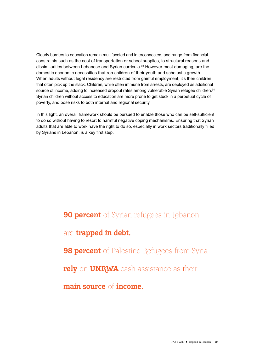<span id="page-28-0"></span>Clearly barriers to education remain multifaceted and interconnected, and range from financial constraints such as the cost of transportation or school supplies, to structural reasons and dissimilarities between Lebanese and Syrian curricula. $93$  However most damaging, are the domestic economic necessities that rob children of their youth and scholastic growth. When adults without legal residency are restricted from gainful employment, it's their children that often pick up the slack. Children, while often immune from arrests, are deployed as additional source of income, adding to increased dropout rates among vulnerable Syrian refugee children.<sup>94</sup> Syrian children without access to education are more prone to get stuck in a perpetual cycle of poverty, and pose risks to both internal and regional security.

<span id="page-28-1"></span>In this light, an overall framework should be pursued to enable those who can be self-sufficient to do so without having to resort to harmful negative coping mechanisms. Ensuring that Syrian adults that are able to work have the right to do so, especially in work sectors traditionally filled by Syrians in Lebanon, is a key first step.

> **90 percent** of Syrian refugees in Lebanon are **trapped in debt. 98 percent** of Palestine Refugees from Syria **rely** on **UNRWA** cash assistance as their **main source** of **income.**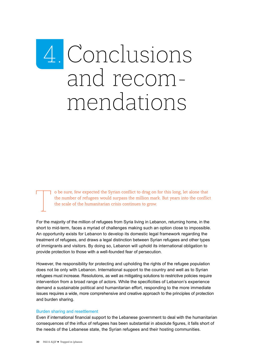## <span id="page-29-0"></span>4. Conclusions and recom- mendations

T o be sure, few expected the Syrian conflict to drag on for this long, let alone that the number of refugees would surpass the million mark. But years into the conflict the scale of the humanitarian crisis continues to gr the number of refugees would surpass the million mark. But years into the conflict the scale of the humanitarian crisis continues to grow.

For the majority of the million of refugees from Syria living in Lebanon, returning home, in the short to mid-term, faces a myriad of challenges making such an option close to impossible. An opportunity exists for Lebanon to develop its domestic legal framework regarding the treatment of refugees, and draws a legal distinction between Syrian refugees and other types of immigrants and visitors. By doing so, Lebanon will uphold its international obligation to provide protection to those with a well-founded fear of persecution.

However, the responsibility for protecting and upholding the rights of the refugee population does not lie only with Lebanon. International support to the country and well as to Syrian refugees must increase. Resolutions, as well as mitigating solutions to restrictive policies require intervention from a broad range of actors. While the specificities of Lebanon's experience demand a sustainable political and humanitarian effort, responding to the more immediate issues requires a wide, more comprehensive and creative approach to the principles of protection and burden sharing.

#### Burden sharing and resettlement

Even if international financial support to the Lebanese government to deal with the humanitarian consequences of the influx of refugees has been substantial in absolute figures, it falls short of the needs of the Lebanese state, the Syrian refugees and their hosting communities.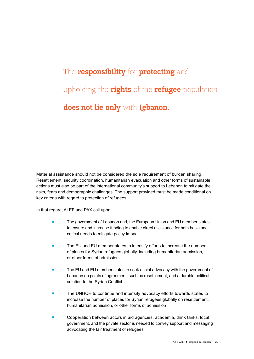#### The **responsibility** for **protecting** and upholding the **rights** of the **refugee** population **does not lie only** with **Lebanon.**

Material assistance should not be considered the sole requirement of burden sharing. Resettlement, security coordination, humanitarian evacuation and other forms of sustainable actions must also be part of the international community's support to Lebanon to mitigate the risks, fears and demographic challenges. The support provided must be made conditional on key criteria with regard to protection of refugees.

In that regard, ALEF and PAX call upon:

- ◆ The government of Lebanon and, the European Union and EU member states to ensure and increase funding to enable direct assistance for both basic and critical needs to mitigate policy impact
- The EU and EU member states to intensify efforts to increase the number of places for Syrian refugees globally, including humanitarian admission, or other forms of admission
- The EU and EU member states to seek a joint advocacy with the government of Lebanon on points of agreement, such as resettlement, and a durable political solution to the Syrian Conflict
- The UNHCR to continue and intensify advocacy efforts towards states to increase the number of places for Syrian refugees globally on resettlement, humanitarian admission, or other forms of admission
- ! Cooperation between actors in aid agencies, academia, think tanks, local government, and the private sector is needed to convey support and messaging advocating the fair treatment of refugees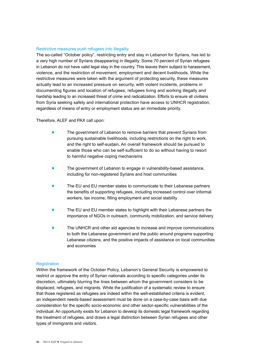#### Restrictive measures push refugees into illegality

The so-called "October policy", restricting entry and stay in Lebanon for Syrians, has led to a very high number of Syrians disappearing in illegality. Some 70 percent of Syrian refugees in Lebanon do not have valid legal stay in the country. This leaves them subject to harassment, violence, and the restriction of movement, employment and decent livelihoods. While the restrictive measures were taken with the argument of protecting security, these measures actually lead to an increased pressure on security, with violent incidents, problems in documenting figures and location of refugees, refugees living and working illegally and hardship leading to an increased threat of crime and radicalization. Efforts to ensure all civilians from Syria seeking safety and international protection have access to UNHCR registration, regardless of means of entry or employment status are an immediate priority.

#### Therefore, ALEF and PAX call upon:

- The government of Lebanon to remove barriers that prevent Syrians from pursuing sustainable livelihoods, including restrictions on the right to work, and the right to self-sustain**.** An overall framework should be pursued to enable those who can be self-sufficient to do so without having to resort to harmful negative coping mechanisms
- ! The government of Lebanon to engage in vulnerability-based assistance, including for non-registered Syrians and host communities
- The EU and EU member states to communicate to their Lebanese partners the benefits of supporting refugees, including increased control over informal workers, tax income, filling employment and social stability
- The EU and EU member states to highlight with their Lebanese partners the importance of NGOs in outreach, community mobilization, and service delivery
- The UNHCR and other aid agencies to increase and improve communications to both the Lebanese government and the public around programs supporting Lebanese citizens, and the positive impacts of assistance on local communities and economies

#### **Registration**

Within the framework of the October Policy, Lebanon's General Security is empowered to restrict or approve the entry of Syrian nationals according to specific categories under its discretion, ultimately blurring the lines between whom the government considers to be displaced, refugees, and migrants. While the justification of a systematic review to ensure that those registered as refugees are indeed within the well-established criteria is evident, an independent needs-based assessment must be done on a case-by-case basis with due consideration for the specific socio-economic and other sector-specific vulnerabilities of the individual. An opportunity exists for Lebanon to develop its domestic legal framework regarding the treatment of refugees, and draws a legal distinction between Syrian refugees and other types of immigrants and visitors.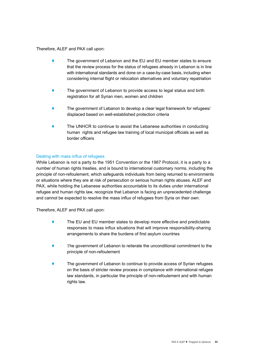#### Therefore, ALEF and PAX call upon:

- ◆ The government of Lebanon and the EU and EU member states to ensure that the review process for the status of refugees already in Lebanon is in line with international standards and done on a case-by-case basis, including when considering internal flight or relocation alternatives and voluntary repatriation
- The government of Lebanon to provide access to legal status and birth registration for all Syrian men, women and children
- The government of Lebanon to develop a clear legal framework for refugees/ displaced based on well-established protection criteria
- The UNHCR to continue to assist the Lebanese authorities in conducting human rights and refugee law training of local municipal officials as well as border officers

#### Dealing with mass influx of refugees

While Lebanon is not a party to the 1951 Convention or the 1967 Protocol, it is a party to a number of human rights treaties, and is bound to international customary norms, including the principle of non-refoulement, which safeguards individuals from being returned to environments or situations where they are at risk of persecution or serious human rights abuses. ALEF and PAX, while holding the Lebanese authorities accountable to its duties under international refugee and human rights law, recognize that Lebanon is facing an unprecedented challenge and cannot be expected to resolve the mass influx of refugees from Syria on their own.

Therefore, ALEF and PAX call upon:

- ◆ The EU and EU member states to develop more effective and predictable responses to mass influx situations that will improve responsibility-sharing arrangements to share the burdens of first asylum countries
- The government of Lebanon to reiterate the unconditional commitment to the principle of non-refoulement
- The government of Lebanon to continue to provide access of Syrian refugees on the basis of stricter review process in compliance with international refugee law standards, in particular the principle of non-refoulement and with human rights law.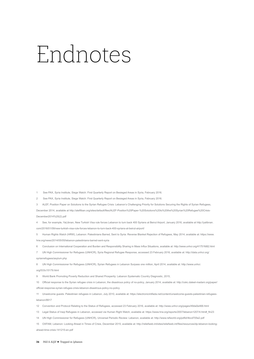### <span id="page-33-0"></span>Endnotes

<span id="page-33-1"></span>See PAX, Syria Institute, Siege Watch: First Quarterly Report on Besieged Areas in Syria, February 2016.

<span id="page-33-2"></span>See PAX, Syria Institute, Siege Watch: First Quarterly Report on Besieged Areas in Syria, February 2016.

<span id="page-33-3"></span> ALEF, Position Paper on Solutions to the Syrian Refugee Crisis: Lebanon's Challenging Priority for Solutions Securing the Rights of Syrian Refugees, December 2014, available at http://alefliban.org/sites/default/files/ALEF-Position%20Paper-%20Solutions%20to%20the%20Syrian%20Refugee%20Crisis-December2014%20(2).pdf

<span id="page-33-4"></span> See, for example, YaLibnan, New Turkish Visa rule forces Lebanon to turn back 400 Syrians at Beirut Airport, January 2016, available at http://yalibnan. com/2016/01/09/new-turkish-visa-rule-forces-lebanon-to-turn-back-400-syrians-at-beirut-airport/

<span id="page-33-5"></span> Human Rights Watch (HRW), Lebanon: Palestinians Barred, Sent to Syria: Reverse Blanket Rejection of Refugees, May 2014, available at: https://www. hrw.org/news/2014/05/05/lebanon-palestinians-barred-sent-syria

<span id="page-33-6"></span>Conclusion on International Cooperation and Burden and Responsibility Sharing in Mass Influx Situations, available at: http://www.unhcr.org/41751fd82.html

<span id="page-33-7"></span> UN High Commissioner for Refugees (UNHCR), Syria Regional Refugee Response, accessed 23 February 2016, available at: http://data.unhcr.org/ syrianrefugees/asylum.php

<span id="page-33-8"></span> UN High Commissioner for Refugees (UNHCR), Syrian Refugees in Lebanon Surpass one million, April 2014, available at: http://www.unhcr. org/533c15179.html

<span id="page-33-9"></span>World Bank Promoting Poverty Reduction and Shared Prosperity: Lebanon Systematic Country Diagnostic, 2015,

<span id="page-33-10"></span> Official response to the Syrian refugee crisis in Lebanon, the disastrous policy of no-policy, January 2014, available at: http://cskc.daleel-madani.org/paper/ official-response-syrian-refugee-crisis-lebanon-disastrous-policy-no-policy

<span id="page-33-11"></span> Unwelcome guests: Palestinian refugees in Lebanon, July 2010, available at: https://electronicintifada.net/content/unwelcome-guests-palestinian-refugeeslebanon/8917

<span id="page-33-12"></span>Convention and Protocol Relating to the Status of Refugees, accessed 23 February 2016, available at: http://www.unhcr.org/pages/49da0e466.html

<span id="page-33-13"></span>Legal Status of Iraqi Refugees in Lebanon, accessed via Human Right Watch, available at: https://www.hrw.org/reports/2007/lebanon1207/4.htm#\_ftn23

<span id="page-33-14"></span>UN High Commissioner for Refugees (UNHCR), Universal Periodic Review: Lebanon, available at: http://www.refworld.org/pdfid/4bcd705e2.pdf

<span id="page-33-15"></span> OXFAM, Lebanon: Looking Ahead in Times of Crisis, December 2015, available at: http://reliefweb.int/sites/reliefweb.int/files/resources/dp-lebanon-lookingahead-time-crisis-141215-en.pdf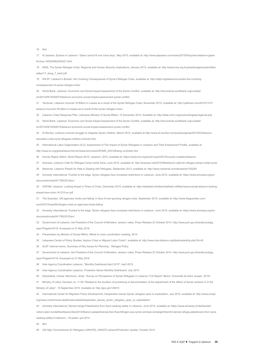<span id="page-34-0"></span>Ibid.

<span id="page-34-1"></span> Al Jazeera, Syrians in Lebanon: 'Glass cannot fit one more drop', May 2015, available at: http://www.aljazeera.com/news/2015/05/syrians-lebanon-glassfit-drop-150529082240227.html

<span id="page-34-2"></span> INSS, The Syrian Refugee Crisis: Regional and Human Security Implications, January 2015, available at: http://www.inss.org.il/uploadimages/systemfiles/ adkan17\_4eng\_7\_berti.pdf

<span id="page-34-3"></span> WILPF, Lebanon's Burden: the Crushing Consequences of Syria's Refugee Crisis, available at: http://wilpf.org/lebanons-burden-the-crushingconsequences-of-syrias-refugee-crisis/

<span id="page-34-4"></span> World Bank, Lebanon: Economic and Social Impact Assessment of the Syrian Conflict, available at: http://documents.worldbank.org/curated/ en/2013/09/18292074/lebanon-economic-social-impact-assessment-syrian-conflict

<span id="page-34-5"></span> YaLibnan, Lebanon Incurred 16 Billion in Losses as a result of the Syrian Refugee Crisis, November 2015, available at: http://yalibnan.com/2015/11/27/ lebanon-incurred-16-billion-in-losses-as-a-result-of-the-syrian-refugee-crisis/.

<span id="page-34-6"></span>Lebanon Crisis Response Plan, Lebanese Ministry of Social Affairs, 15 December 2014. Available at: http://data.unhcr.org/syrianrefugees/regional.php

<span id="page-34-7"></span>World Bank, Lebanon: Economic and Social Impact Assessment of the Syrian Conflict, available at: http://documents.worldbank.org/curated/

en/2013/09/18292074/lebanon-economic-social-impact-assessment-syrian-conflict

<span id="page-34-8"></span> Al Monitor, Lebanon schools struggle to integrate Syrian children, March 2015, available at http://www.al-monitor.com/pulse/originals/2015/03/lebanoneducation-crisis-syria-refugees-children-schools.html

<span id="page-34-9"></span>International Labor Organization (ILO), Assessment of The Impact of Syrian Refugees in Lebanon and Their Employment Profile, available at:

http://www.ilo.org/global/about-the-ilo/newsroom/news/WCMS\_240126/lang--en/index.htm

<span id="page-34-10"></span>Human Rights Watch, World Report 2015, Lebanon, 2015, available at: https://www.hrw.org/world-report/2015/country-chapters/lebanon

<span id="page-34-11"></span>Aranews, Lebanon Calls for Refugee Camp Inside Syria, June 2015, available at: http://aranews.net/2015/06/lebanon-calls-for-refugee-camps-inside-syria/

<span id="page-34-12"></span>Naharnet, Lebanon Pleads for Help in Dealing with Refugees, September 2013, available at: http://www.naharnet.com/stories/en/100293

<span id="page-34-13"></span> Amnesty International, Pushed to the edge: Syrian refugees face increased restrictions in Lebanon, June 2015, available at: https://www.amnesty.org/en/ documents/mde24/1785/2015/en/

<span id="page-34-14"></span> OXFAM, Lebanon: Looking Ahead in Times of Crisis, December 2015, available at: http://reliefweb.int/sites/reliefweb.int/files/resources/dp-lebanon-lookingahead-time-crisis-141215-en.pdf

<span id="page-34-15"></span> The Guardian, UN agencies 'broke and failing' in face of ever-growing refugee crisis, September 2015, available at: http://www.theguardian.com/ world/2015/sep/06/refugee-crisis-un-agencies-broke-failing

<span id="page-34-16"></span> Amnesty International, Pushed to the edge: Syrian refugees face increased restrictions in Lebanon, June 2015, available at: https://www.amnesty.org/en/ documents/mde24/1785/2015/en/

<span id="page-34-17"></span> Government of Lebanon, the President of the Council of Ministers, session notes, Press Release 23 October 2014. http://www.pcm.gov.lb/arabic/subpg. aspx?Pageid=6118. Accessed on 01 May 2016

<span id="page-34-18"></span>Presentation by Ministry of Social Affairs' official to crisis coordination meeting; 2014.

<span id="page-34-19"></span>Lebanese Center of Policy Studies, Asylum Crisis or Migrant Labor Crisis?, available at: http://www.lcps-lebanon.org/featuredarticle.php?Id=42

<span id="page-34-20"></span>ALEF internal memo: Summary of Key Issues for Planning – Refugee Policy

<span id="page-34-21"></span> Government of Lebanon, the President of the Council of Ministers, session notes, Press Release 23 October 2014. http://www.pcm.gov.lb/arabic/subpg. aspx?Pageid=6118. Accessed on 01 May 2016

<span id="page-34-22"></span>Inter-Agency Coordination Lebanon, "Monthly Dashboard April 2015", April 2015

<span id="page-34-23"></span>Inter-Agency Coordination Lebanon, Protection Sector Monthly Dashboard: July 2015

<span id="page-34-24"></span>Alsharabati, Carole; Nammour, Jihad, "Survey on Perceptions of Syrian Refugees in Lebanon: Full Report" Beirut: Université de Saint Joseph, 2015=

<span id="page-34-25"></span> Ministry of Labor, Decision no. 1/130 "Related to the duration of processing of documentation at the department of the affairs of Syrian workers in in the Ministry of Labor". 19 September 2015. Available at: http://goo.gl/v1AM15

<span id="page-34-26"></span> International Center for Migration Policy Development, Desperation leaves Syrian refugees open to exploitation, July 2015, available at: http://www.icmpd. org/news-centre/news-detail/news-detail/desperation\_leaves\_syrian\_refugees\_open\_to\_exploitation/

<span id="page-34-27"></span>Amnesty International, Denied refuge Palestinians from Syria seeking safety in Lebanon, June 2014, available at: https://www.amnesty.ch/de/laender/

naher-osten-nordafrika/libanon/dok/2014/libanon-palaestinensischen-fluechtlingen-aus-syrien-einreise-verweigert/bericht-denied-refuge-palestinians-from-syriaseeking-safety-in-lebanon-.-18-seiten.-juli-2014

<span id="page-34-28"></span>Ibid

<span id="page-34-29"></span>UN High Commissioner for Refugees (UNHCR), UNHCR LebanonProtection Update, October 2014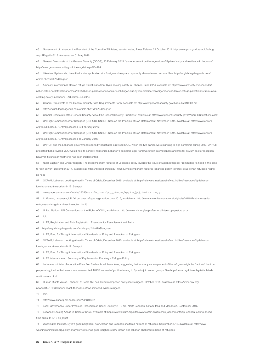<span id="page-35-0"></span>[46](#page-20-0) Government of Lebanon, the President of the Council of Ministers, session notes, Press Release 23 October 2014. http://www.pcm.gov.lb/arabic/subpg. aspx?Pageid=6118. Accessed on 01 May 2016

<span id="page-35-1"></span>[47](#page-20-1) General Directorate of the General Security (GDGS), 23 February 2015, "announcement on the regulation of Syrians' entry and residence in Lebanon". http://www.general-security.gov.lb/news\_det.aspx?D=194

<span id="page-35-2"></span>[48](#page-20-2) Likewise, Syrians who have filed a visa application at a foreign embassy are reportedly allowed eased access. See: http://english.legal-agenda.com/ article.php?Id=679&lang=en

<span id="page-35-3"></span>[49](#page-20-3) Amnesty International, Denied refuge Palestinians from Syria seeking safety in Lebanon, June 2014, available at: https://www.amnesty.ch/de/laender/ naher-osten-nordafrika/libanon/dok/2014/libanon-palaestinensischen-fluechtlingen-aus-syrien-einreise-verweigert/bericht-denied-refuge-palestinians-from-syriaseeking-safety-in-lebanon-.-18-seiten.-juli-2014

<span id="page-35-4"></span>[50](#page-20-4) General Directorate of the General Security, Visa Requirements Form. Available at: http://www.general-security.gov.lb/results/010203.pdf

<span id="page-35-5"></span>[51](#page-20-5) http://english.legal-agenda.com/article.php?Id=679&lang=en

<span id="page-35-6"></span>[52](#page-20-6) General Directorate of the General Security, "About the General Security: Functions", available at: http://www.general-security.gov.lb/About-GS/functions.aspx

<span id="page-35-7"></span>[53](#page-21-1) UN High Commissioner for Refugees (UNHCR), UNHCR Note on the Principle of Non-Refoulement, November 1997, available at: http://www.refworld. org/docid/438c6d972.html [accessed 23 February 2016]

<span id="page-35-8"></span>[54](#page-21-2) UN High Commissioner for Refugees (UNHCR), UNHCR Note on the Principle of Non-Refoulement, November 1997, available at: http://www.refworld. org/docid/438c6d972.html [accessed 15 January 2016]

<span id="page-35-9"></span>[55](#page-21-3) UNHCR and the Lebanese government reportedly negotiated a revised MOU, which the two parties were planning to sign sometime during 2013. UNHCR projected that a revised MOU would help to partially harmonize Lebanon's domestic legal framework with international standards for asylum seeker reception, however it's unclear whether is has been implemented.

<span id="page-35-10"></span>Nizar Saghieh and GhidaFrangieh. The most important features of Lebanese policy towards the issue of Syrian refugees: From hiding its head in the sand to "soft power", December 2014, available at: https://lb.boell.org/en/2014/12/30/most-important-features-lebanese-policy-towards-issue-syrian-refugees-hidingits-head

<span id="page-35-11"></span>[57](#page-21-5) OXFAM, Lebanon: Looking Ahead in Times of Crisis, December 2015, available at: http://reliefweb.int/sites/reliefweb.int/files/resources/dp-lebanon-

looking-ahead-time-crisis-141215-en.pdf

<span id="page-35-12"></span>[58](#page-21-6) newspaper.annahar.com/article/252558- النهار-تنشر-رسالة-باسيل-إىل-سالم-وطلبه-من-غوترييس-إلغاء-تعميم-املفوضية

<span id="page-35-13"></span>[59](#page-21-7) Al Monitor, Lebanese, UN fall out over refugee registration, July 2015, available at: http://www.al-monitor.com/pulse/originals/2015/07/lebanon-syriarefugees-unhcr-gebran-bassil-rejection.html#

<span id="page-35-14"></span>[60](#page-22-0) United Nations, UN Conventions on the Rights of Child, available at: http://www.ohchr.org/en/professionalinterest/pages/crc.aspx

<span id="page-35-15"></span>[61](#page-22-1) Ibid.

<span id="page-35-16"></span>[62](#page-22-2) ALEF, Registration and Birth Registration: Essentials for Resettlement and Return

<span id="page-35-17"></span>[63](#page-22-3) http://english.legal-agenda.com/article.php?Id=679&lang=en

<span id="page-35-18"></span>[64](#page-23-1) ALEF, Food for Thought: International Standards on Entry and Protection of Refugees

<span id="page-35-19"></span>[65](#page-23-2) OXFAM, Lebanon: Looking Ahead in Times of Crisis, December 2015, available at: http://reliefweb.int/sites/reliefweb.int/files/resources/dp-lebanon-

looking-ahead-time-crisis-141215-en.pdf

<span id="page-35-20"></span>[66](#page-23-3) ALEF, Food for Thought: International Standards on Entry and Protection of Refugees

<span id="page-35-21"></span>[67](#page-23-4) ALEF internal memo: Summary of Key Issues for Planning – Refugee Policy

<span id="page-35-22"></span>[68](#page-24-1) Lebanese minister of education Elias Bou Saab echoed these fears, suggesting that as many as two percent of the refugees might be "radicals" bent on

perpetrating jihad in their new home, meanwhile UNHCR warned of youth returning to Syria to join armed groups. See http://unhcr.org/futureofsyria/isolatedand-insecure.html

<span id="page-35-23"></span>[69](#page-24-2) Human Rights Watch, Lebanon: At Least 45 Local Curfews Imposed on Syrian Refugees, October 2014, available at: https://www.hrw.org/

news/2014/10/03/lebanon-least-45-local-curfews-imposed-syrian-refugees

<span id="page-35-24"></span>[70](#page-24-3) Ibid.

<span id="page-35-25"></span>[71](#page-24-4) http://www.alsharq.net.sa/lite-post?Id=810992

<span id="page-35-26"></span>[72](#page-7-2) Local Governance Under Pressure, Research on Social Stability in T5 are, North Lebanon, Oxfam Italia and Menapolis, September 2015

<span id="page-35-27"></span>[73](#page-24-5) Lebanon: Looking Ahead in Times of Crisis, available at: https://www.oxfam.org/sites/www.oxfam.org/files/file\_attachments/dp-lebanon-looking-aheadtime-crisis-141215-en\_0.pdf

<span id="page-35-28"></span>[74](#page-24-6) Washington Institute, Syria's good neighbors: how Jordan and Lebanon sheltered millions of refugees, September 2015, available at: http://www.

washingtoninstitute.org/policy-analysis/view/syrias-good-neighbors-how-jordan-and-lebanon-sheltered-millions-of-refugees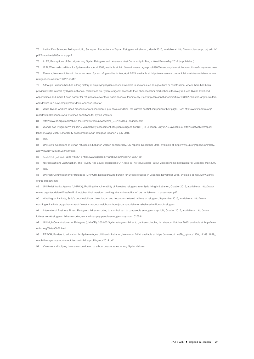<span id="page-36-0"></span>[75](#page-24-7) Institut Des Sciences Politiques USJ, Survey on Perceptions of Syrian Refugees in Lebanon, March 2015, available at: http://www.sciences-po.usj.edu.lb/ pdf/Executive%20Summary.pdf

<span id="page-36-1"></span>[76](#page-24-8) ALEF, Perceptions of Security Among Syrian Refugees and Lebanese Host Community In Marj – West BekaaMay 2016 (unpublished).

<span id="page-36-2"></span>[77](#page-26-1) IRIN, Wretched conditions for Syrian workers, April 2009, available at: http://www.irinnews.org/report/83900/lebanon-syria-wretched-conditions-for-syrian-workers

<span id="page-36-3"></span>[78](#page-26-2) Reuters, New restrictions in Lebanon mean Syrian refugees live in fear, April 2015, available at: http://www.reuters.com/article/us-mideast-crisis-lebanonrefugees-iduskbn0n819z20150417

<span id="page-36-4"></span>[79](#page-26-3) Although Lebanon has had a long history of employing Syrian seasonal workers in sectors such as agriculture or construction, where there had been previously little interest by Syrian nationals, restrictions on Syrian refugees' access to the Lebanese labor market has effectively reduced Syrian livelihood opportunities and made it even harder for refugees to cover their basic needs autonomously. See: http://en.annahar.com/article/198787-minister-targets-waitersand-drivers-in-n-new-employment-drive-lebanese-jobs-for

<span id="page-36-5"></span>[80](#page-26-4) While Syrian workers faced precarious work condition in pre-crisis condition, the current conflict compounds their plight. See: http://www.irinnews.org/ report/83900/lebanon-syria-wretched-conditions-for-syrian-workers

<span id="page-36-6"></span>[81](#page-26-5) http://www.ilo.org/global/about-the-ilo/newsroom/news/wcms\_240126/lang--en/index.htm

<span id="page-36-7"></span>[82](#page-26-6) World Food Program (WFP), 2015 Vulnerability assessment of Syrian refugees (VASYR) in Lebanon, July 2015, available at http://reliefweb.int/report/ lebanon/vasyr-2015-vulnerability-assessment-syrian-refugees-lebanon-7-july-2015

<span id="page-36-8"></span>[83](#page-26-7) Ibid.

<span id="page-36-9"></span>[84](#page-26-8) UN News, Conditions of Syrian refugees in Lebanon worsen considerably, UN reports, December 2015, available at: http://www.un.org/apps/news/story. asp?Newsid=52893#.vozn5zn96rs

<span id="page-36-10"></span>[85](#page-26-9) June 4th 2015 http://www.aljadeed.tv/arabic/news/local/040620159 , البطالة تصل الى ارقام قياسية 85

<span id="page-36-11"></span>[86](#page-26-10) NisreenSalti and JadChaaban, The Poverty And Equity Implications Of A Rise In The Value Added Tax: A Microeconomic Simulation For Lebanon, May 2009

<span id="page-36-12"></span>[87](#page-27-0)

<span id="page-36-13"></span>[88](#page-27-1) UN High Commissioner for Refugees (UNHCR), Debt a growing burden for Syrian refugees in Lebanon, November 2015, available at http://www.unhcr. org/564f1baa6.html

<span id="page-36-14"></span>[89](#page-27-2) UN Relief Works Agency (UNRWA), Profiling the vulnerability of Palestine refugees from Syria living in Lebanon, October 2015, available at: http://www. unrwa.org/sites/default/files/final2\_6\_october\_final\_version-\_profiling\_the\_vulnerability\_of\_prs\_in\_lebanon\_-\_assesment.pdf

<span id="page-36-15"></span>Washington Institute, Syria's good neighbors: how Jordan and Lebanon sheltered millions of refugees, September 2015, available at: http://www.

washingtoninstitute.org/policy-analysis/view/syrias-good-neighbors-how-jordan-and-lebanon-sheltered-millions-of-refugees

<span id="page-36-16"></span>[91](#page-27-4) International Business Times, Refugee children resorting to 'survival sex' to pay people smugglers says UN, October 2015, available at: http://www.

ibtimes.co.uk/refugee-children-resorting-survival-sex-pay-people-smugglers-says-un-1525534

<span id="page-36-17"></span>[92](#page-27-5) UN High Commissioner for Refugees (UNHCR), 200,000 Syrian refugee children to get free schooling in Lebanon, October 2015, available at: http://www. unhcr.org/560e96b56.html

<span id="page-36-18"></span>[93](#page-28-0) REACH, Barriers to education for Syrian refugee children in Lebanon, November 2014, available at: https://www.ecoi.net/file\_upload/1930\_1416914829\_ reach-lbn-report-syriacrisis-outofschoolchildrenprofiling-nov2014.pdf

<span id="page-36-19"></span>Violence and bullying have also contributed to school dropout rates among Syrian children.